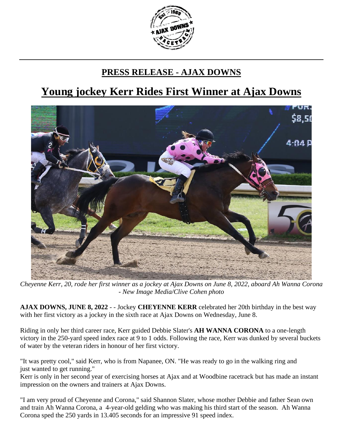

## **PRESS RELEASE - AJAX DOWNS**

## **Young jockey Kerr Rides First Winner at Ajax Downs**



*Cheyenne Kerr, 20, rode her first winner as a jockey at Ajax Downs on June 8, 2022, aboard Ah Wanna Corona - New Image Media/Clive Cohen photo*

**AJAX DOWNS, JUNE 8, 2022** - - Jockey **CHEYENNE KERR** celebrated her 20th birthday in the best way with her first victory as a jockey in the sixth race at Ajax Downs on Wednesday, June 8.

Riding in only her third career race, Kerr guided Debbie Slater's **AH WANNA CORONA** to a one-length victory in the 250-yard speed index race at 9 to 1 odds. Following the race, Kerr was dunked by several buckets of water by the veteran riders in honour of her first victory.

"It was pretty cool," said Kerr, who is from Napanee, ON. "He was ready to go in the walking ring and just wanted to get running."

Kerr is only in her second year of exercising horses at Ajax and at Woodbine racetrack but has made an instant impression on the owners and trainers at Ajax Downs.

"I am very proud of Cheyenne and Corona," said Shannon Slater, whose mother Debbie and father Sean own and train Ah Wanna Corona, a 4-year-old gelding who was making his third start of the season. Ah Wanna Corona sped the 250 yards in 13.405 seconds for an impressive 91 speed index.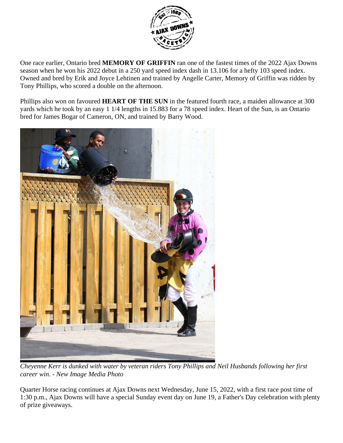

One race earlier, Ontario bred **MEMORY OF GRIFFIN** ran one of the fastest times of the 2022 Ajax Downs season when he won his 2022 debut in a 250 yard speed index dash in 13.106 for a hefty 103 speed index. Owned and bred by Erik and Joyce Lehtinen and trained by Angelle Carter, Memory of Griffin was ridden by Tony Phillips, who scored a double on the afternoon.

Phillips also won on favoured **HEART OF THE SUN** in the featured fourth race, a maiden allowance at 300 yards which he took by an easy 1 1/4 lengths in 15.883 for a 78 speed index. Heart of the Sun, is an Ontario bred for James Bogar of Cameron, ON, and trained by Barry Wood.



*Cheyenne Kerr is dunked with water by veteran riders Tony Phillips and Neil Husbands following her first career win. - New Image Media Photo*

Quarter Horse racing continues at Ajax Downs next Wednesday, June 15, 2022, with a first race post time of 1:30 p.m., Ajax Downs will have a special Sunday event day on June 19, a Father's Day celebration with plenty of prize giveaways.